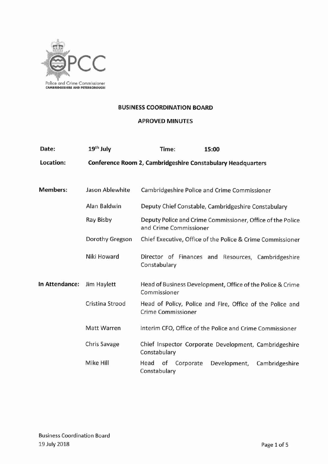

#### **BUSINESS COORDINATION BOARD**

# APROVED MINUTES

| Date:                                         | 19 <sup>th</sup> July | Time:                                                                                  | 15:00                                                      |  |
|-----------------------------------------------|-----------------------|----------------------------------------------------------------------------------------|------------------------------------------------------------|--|
| Location:                                     |                       | <b>Conference Room 2, Cambridgeshire Constabulary Headquarters</b>                     |                                                            |  |
|                                               |                       |                                                                                        |                                                            |  |
| <b>Members:</b>                               | Jason Ablewhite       | Cambridgeshire Police and Crime Commissioner                                           |                                                            |  |
|                                               | Alan Baldwin          | Deputy Chief Constable, Cambridgeshire Constabulary                                    |                                                            |  |
|                                               | Ray Bisby             | Deputy Police and Crime Commissioner, Office of the Police<br>and Crime Commissioner   |                                                            |  |
|                                               | Dorothy Gregson       |                                                                                        | Chief Executive, Office of the Police & Crime Commissioner |  |
|                                               | Niki Howard           | Constabulary                                                                           | Director of Finances and Resources, Cambridgeshire         |  |
| In Attendance:<br>Jim Haylett<br>Commissioner |                       | Head of Business Development, Office of the Police & Crime                             |                                                            |  |
|                                               | Cristina Strood       | Head of Policy, Police and Fire, Office of the Police and<br><b>Crime Commissioner</b> |                                                            |  |
|                                               | <b>Matt Warren</b>    | Interim CFO, Office of the Police and Crime Commissioner                               |                                                            |  |
|                                               | <b>Chris Savage</b>   | Chief Inspector Corporate Development, Cambridgeshire<br>Constabulary                  |                                                            |  |
|                                               | Mike Hill             | Head<br>of<br>Corporate<br>Constabulary                                                | Development,<br>Cambridgeshire                             |  |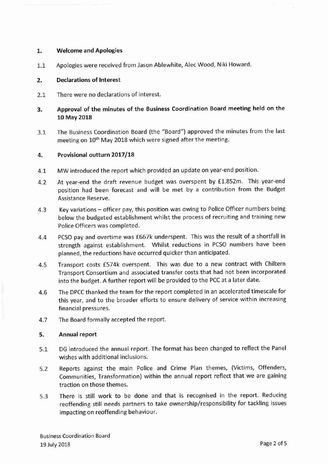### **1. Welcome and Apologies**

1.1 Apologies were received from Jason Ablewhite, Alec Wood, Niki Howard.

### 2. **Declarations of Interest**

2.1 There were no declarations of interest.

## 3. **Approval of the minutes of the Business Coordination Board meeting held on the 10 May 2018**

3.1 The Business Coordination Board (the "Board") approved the minutes from the last meeting on 10<sup>th</sup> May 2018 which were signed after the meeting.

## **4. Provisional outturn 2017/18**

- 4.1 MW introduced the report which provided an update on year-end position.
- 4.2 At year-end the draft revenue budget was overspent by £1.852m. This year-end position had been forecast and will be met by a contribution from the Budget Assistance Reserve.
- 4.3 Key variations officer pay, this position was owing to Police Officer numbers being below the budgeted establishment whilst the process of recruiting and training new Police Officers was completed.
- 4.4 PCSO pay and overtime was £667k underspent. This was the result of a shortfall in strength against establishment. Whilst reductions in PCSO numbers have been planned, the reductions have occurred quicker than anticipated.
- 4.5 Transport costs £574k overspent. This was due to a new contract with Chiltern Transport Consortium and associated transfer costs that had not been incorporated into the budget. A further report will be provided to the PCC at a later date.
- 4.6 The DPCC thanked the team for the report completed in an accelerated timescale for this year, and to the broader efforts to ensure delivery of service within increasing financial pressures.
- 4.7 The Board formally accepted the report.

#### **5. Annual report**

- 5.1 DG introduced the annual report. The format has been changed to reflect the Panel wishes with additional inclusions.
- 5.2 Reports against the main Police and Crime Plan themes, (Victims, Offenders, Communities, Transformation) within the annual report reflect that we are gaining traction on those themes.
- 5.3 There is still work to be done and that is recognised in the report. Reducing reoffending still needs partners to take ownership/responsibility for tackling issues impacting on reoffending behaviour.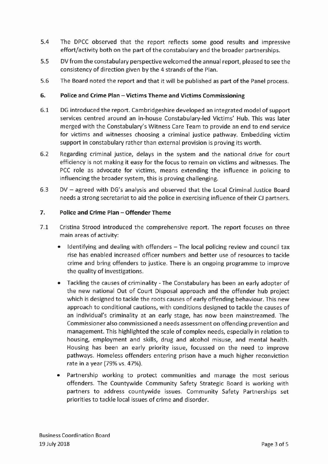- 5.4 The DPCC observed that the report reflects some good results and impressive effort/activity both on the part of the constabulary and the broader partnerships.
- 5.5 DV from the constabulary perspective welcomed the annual report, pleased to see the consistency of direction given by the 4 strands of the Plan.
- 5.6 The Board noted the report and that it will be published as part of the Panel process.

## 6. Police and Crime Plan - Victims Theme and Victims Commissioning

- 6.1 DG introduced the report. Cambridgeshire developed an integrated model of support services centred around an in-house Constabulary-led Victims' Hub. This was later merged with the Constabulary's Witness Care Team to provide an end to end service for victims and witnesses choosing a criminal justice pathway. Embedding victim support in constabulary rather than external provision is proving its worth.
- 6.2 Regarding criminal justice, delays in the system and the national drive for court efficiency is not making it easy for the focus to remain on victims and witnesses. The PCC role as advocate for victims, means extending the influence in policing to influencing the broader system, this is proving challenging.
- 6.3 DV agreed with DG's analysis and observed that the Local Criminal Justice Board needs a strong secretariat to aid the police in exercising influence of their CJ partners.

#### 7. Police and Crime Plan - Offender Theme

- 7.1 Cristina Strood introduced the comprehensive report. The report focuses on three main areas of activity:
	- Identifying and dealing with offenders The local policing review and council tax rise has enabled increased officer numbers and better use of resources to tackle crime and bring offenders to justice. There is an ongoing programme to improve the quality of investigations.
	- Tackling the causes of criminality The Constabulary has been an early adopter of the new national Out of Court Disposal approach and the offender hub project which is designed to tackle the roots causes of early offending behaviour. This new approach to conditional cautions, with conditions designed to tackle the causes of an individual's criminality at an early stage, has now been mainstreamed. The Commissioner also commissioned a needs assessment on offending prevention and management. This highlighted the scale of complex needs, especially in relation to housing, employment and skills, drug and alcohol misuse, and mental health. Housing has been an early priority issue, focussed on the need to improve pathways. Homeless offenders entering prison have a much higher reconviction rate in a year (79% vs. 47%).
	- Partnership working to protect communities and manage the most serious offenders. The Countywide Community Safety Strategic Board is working with partners to address countywide issues. Community Safety Partnerships set priorities to tackle local issues of crime and disorder.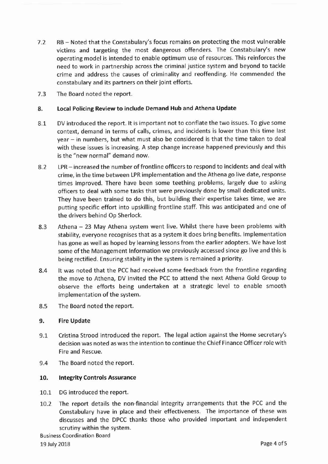- 7.2 RB- Noted that the Constabulary's focus remains on protecting the most vulnerable victims and targeting the most dangerous offenders. The Constabulary's new operating model is intended to enable optimum use of resources. This reinforces the need to work in partnership across the criminal justice system and beyond to tackle crime and address the causes of criminality and reoffending. He commended the constabulary and its partners on their joint efforts.
- 7.3 The Board noted the report.

#### 8. Local Policing Review to include Demand Hub and Athena Update

- 8.1 DV introduced the report. It is important not to conflate the two issues. To give some context, demand in terms of calls, crimes, and incidents is lower than this time last year - in numbers, but what must also be considered is that the time taken to deal with these issues is increasing. A step change increase happened previously and this is the "new normal" demand now.
- 8.2 LPR- increased the number of frontline officers to respond to incidents and deal with crime, in the time between LPRimplementation and the Athena go live date, response times improved. There have been some teething problems, largely due to asking officers to deal with some tasks that were previously done by small dedicated units. They have been trained to do this, but building their expertise takes time, we are putting specific effort into upskilling frontline staff. This was anticipated and one of the drivers behind Op Sherlock.
- 8.3 Athena 23 May Athena system went live. Whilst there have been problems with stability, everyone recognises that as a system it does bring benefits. Implementation has gone as well as hoped by learning lessons from the earlier adopters. We have lost some ofthe Management Information we previously accessed since go live and this is being rectified. Ensuring stability in the system is remained a priority.
- 8.4 It was noted that the PCChad received some feedback from the frontline regarding the move to Athena, DV invited the PCC to attend the next Athena Gold Group to observe the efforts being undertaken at a strategic level to enable smooth implementation of the system.
- 8.5 The Board noted the report.

#### 9. Fire Update

- 9.1 Cristina Strood introduced the report. The legal action against the Home secretary's decision was noted aswas the intention to continue the Chief Finance Officer role with Fire and Rescue.
- 9.4 The Board noted the report.

#### 10. Integrity Controls Assurance

- 10.1 DG introduced the report.
- 10.2 The report details the non-financial integrity arrangements that the PCC and the Constabulary have in place and their effectiveness. The importance of these was discusses and the DPCC thanks those who provided important and independent scrutiny within the system.